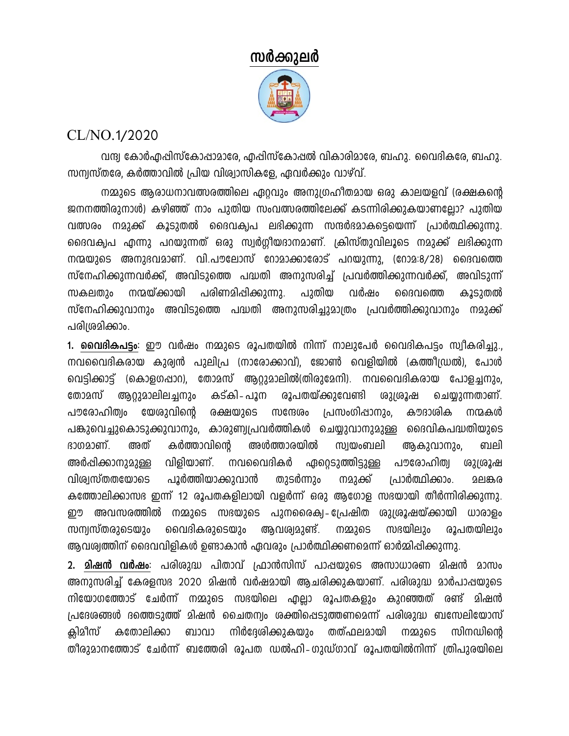## സർക്കുലർ

## CL/NO.1/2020

വന്ദ്വ കോർഎപ്പിസ്കോപ്പാമാരേ, എപ്പിസ്കോപ്പൽ വികാരിമാരേ, ബഹു. വൈദികരേ, ബഹു. സന്വസ്തരേ, കർത്താവിൽ പ്രിയ വിശ്വാസികളേ, ഏവർക്കും വാഴ്വ്.

നമ്മുടെ ആരാധനാവത്സരത്തിലെ ഏറവും അനുഗ്രഹീതമായ ഒരു കാലയളവ് (രക്ഷകന്റെ ജനനത്തിരുനാൾ) കഴിഞ്ഞ് നാം പുതിയ സംവത്സരത്തിലേക്ക് കടന്നിരിക്കുകയാണല്ലോ? പുതിയ വത്സരം നമുക്ക് കൂടുതൽ ദൈവക്വപ ലഭിക്കുന്ന സന്ദർഭമാകടെയെന്ന് പ്രാർത്ഥിക്കുന്നു. ദൈവക്വപ എന്നു പറയുന്നത് ഒരു സ്വർഗ്ഗീയദാനമാണ്. ക്രിസ്തുവിലൂടെ നമുക്ക് ലഭിക്കുന്ന നന്മയുടെ അനുഭവമാണ്. വി.പൗലോസ് റോമാക്കാരോട് പറയുന്നു, (റോമ:8/28) ദൈവത്തെ സ്നേഹിക്കുന്നവർക്ക്, അവിടുത്തെ പദ്ധതി അനുസരിച്ച് പ്രവർത്തിക്കുന്നവർക്ക്, അവിടുന്ന് പുതിയ നന്മയ്ക്കായി പരിണമിഷിക്കുന്നു. വർഷം കൂടുതൽ സകലതാം ദൈവത്തെ സ്നേഹിക്കുവാനും അവിടുത്തെ പദ്ധതി അനുസരിച്ചുമാത്രം പ്രവർത്തിക്കുവാനും നമുക്ക് പരിശ്രമിക്കാം.

1. **വൈദികപട്ടം**: ഈ വർഷം നമ്മുടെ രൂപതയിൽ നിന്ന് നാലുപേർ വൈദികപട്ടം സ്വീകരിച്ചു., നവവൈദികരായ കുര്വൻ പുലിപ്ര (നാരോക്കാവ്), ജോൺ വെളിയിൽ (കത്തീഡ്രൽ), പോൾ വെട്ടിക്കാട്ട് (കൊളഗപ്പാറ), തോമസ് ആറ്റുമാലിൽ(തിരുമേനി). നവവൈദികരായ പോളച്ചനും, ആറുമാലിലച്ചനും കട്കി- പൂന രൂപതയ്ക്കുവേണ്ടി ചെയ്യുന്നതാണ്. തോമസ് ശുശ്രൂഷ പൗരോഹിത്വം യേശുവിന്റെ രക്ഷയുടെ പ്രസംഗിഷാനും, കൗദാശിക സന്ദേശം നന്മകൾ പങ്കുവെച്ചുകൊടുക്കുവാനും, കാരുണ്വപ്രവർത്തികൾ ചെയ്യുവാനുമുള്ള ദൈവികപദ്ധതിയുടെ ഭാഗമാണ്. കർത്താവിന്റെ അൾത്താരയിൽ അത് സ്വയംബലി ആകുവാനും, வுவி അർപ്പിക്കാനുമുള്ള വിളിയാണ്. നവവൈദികർ ഏറ്റെടുത്തിട്ടുള്ള പൗരോഹിത്വ ശുശ്രൂഷ വിശ്വസ്തതയോടെ പൂർത്തിയാക്കുവാൻ പ്രാർത്ഥിക്കാം. തുടർന്നും നമുക്ക് മലങ്കര കത്തോലിക്കാസഭ ഇന്ന് 12 രൂപതകളിലായി വളർന്ന് ഒരു ആഗോള സഭയായി തീർന്നിരിക്കുന്നു. ഈ അവസരത്തിൽ നമ്മുടെ സഭയുടെ പുനരൈക്വെ-പ്രേഷിത ശുശ്രൂഷയ്ക്കായി ധാരാളം സന്വസ്തരുടെയും വൈദികരുടെയും ആവശ്വമുണ്ട്. സഭയിലും രൂപതയിലും നമ്മുടെ ആവശ്വത്തിന് ദൈവവിളികൾ ഉണ്ടാകാൻ ഏവരും പ്രാർത്ഥിക്കണമെന്ന് ഓർമ്മിഷിക്കുന്നു.

2. മിഷൻ വർഷം: പരിശുദ്ധ പിതാവ് പ്രാൻസിസ് പാഷയുടെ അസാധാരണ മിഷൻ മാസം അനുസരിച്ച് കേരളസഭ 2020 മിഷൻ വർഷമായി ആചരിക്കുകയാണ്. പരിശുദ്ധ മാർപാഷയുടെ നിയോഗത്തോട് ചേർന്ന് നമ്മുടെ സഭയിലെ എല്ലാ രൂപതകളും കുറഞ്ഞത് രണ്ട് മിഷൻ പ്രദേശങ്ങൾ ദത്തെടുത്ത് മിഷൻ ചൈതന്വം ശക്തിപ്പെടുത്തണമെന്ന് പരിശുദ്ധ ബസേലിയോസ് കിമീസ് കതോലിക്കാ ബാവാ നിർദ്ദേശിക്കുകയും തത്ഫലമായി സിനഡിന്റെ നമ്മുടെ തീരുമാനത്തോട് ചേർന്ന് ബത്തേരി രൂപത ഡൽഹി-ഗുഡ്ഗാവ് രൂപതയിൽനിന്ന് ത്രിപുരയിലെ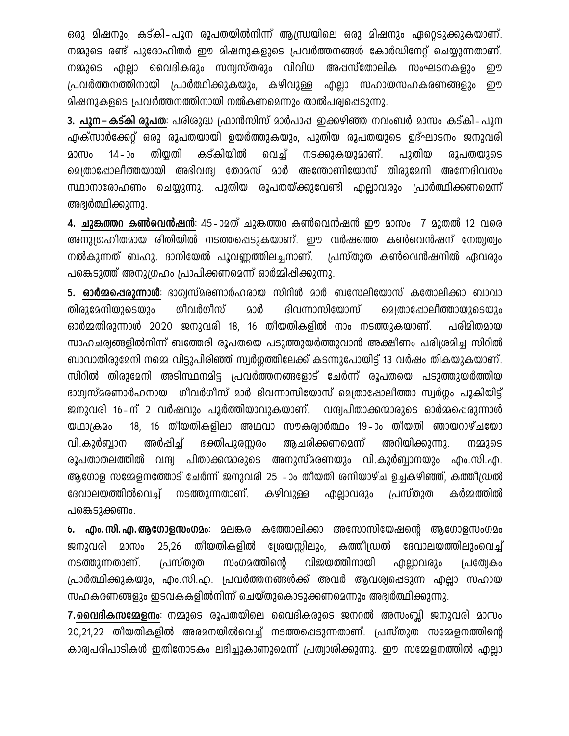ഒരു മിഷനും, കട്കി-പൂന രൂപതയിൽനിന്ന് ആന്ധ്രയിലെ ഒരു മിഷനും ഏറ്റെടുക്കുകയാണ്. നമ്മുടെ രണ്ട് പുരോഹിതർ ഈ മിഷനുകളുടെ പ്രവർത്തനങ്ങൾ കോർഡിനേറ്റ് ചെയ്യുന്നതാണ്. നമ്മുടെ എല്ലാ വൈദികരും സന്വസ്തരും വിവിധ അപ്പസ്തോലിക സംഘടനകളും றூ പ്രവർത്തനത്തിനായി പ്രാർത്ഥിക്കുകയും, കഴിവുള്ള എല്ലാ സഹായസഹകരണങ്ങളും றூ മിഷനുകളടെ പ്രവർത്തനത്തിനായി നൽകണമെന്നും താൽപര്വപ്പെടുന്നു.

3. പൂന–കട്കി രൂപത: പരിശുദ്ധ പ്രാൻസിസ് മാർപാപ്പ ഇക്കഴിഞ്ഞ നവംബർ മാസം കട്കി-പൂന എക്സാർക്കേറ്റ് ഒരു രൂപതയായി ഉയർത്തുകയും, പുതിയ രൂപതയുടെ ഉദ്ഘാടനം ജനുവരി കട്കിയിൽ മാസം  $14 - 30$ തിയ്യതി വെച്ച് നടക്കുകയുമാണ്. പുതിയ രൂപതയുടെ ച്ചെത്രാഷോലീത്തയായി അഭിവന്ദ്വ തോമസ് മാർ അന്തോണിയോസ് തിരുമേനി അന്നേദിവസം സ്ഥാനാരോഹണം ചെയ്യുന്നു. പുതിയ രൂപതയ്ക്കുവേണ്ടി എല്ലാവരും പ്രാർത്ഥിക്കണമെന്ന് അഭ്വർത്ഥിക്കുന്നു.

4. ചുങ്കത്തറ കൺവെൻഷൻ: 45-ാമത് ചുങ്കത്തറ കൺവെൻഷൻ ഈ മാസം 7 മുതൽ 12 വരെ അനുഗ്രഹീതമായ രീതിയിൽ നടത്തപ്പെടുകയാണ്. ഈ വർഷത്തെ കൺവെൻഷന് നേത്വത്വം നൽകുന്നത് ബഹു. ദാനിയേൽ പൂവണ്ണത്തിലച്ചനാണ്. പ്രസ്തുത കൺവെൻഷനിൽ ഏവരും പങ്കെടുത്ത് അനുഗ്രഹം പ്രാപിക്കണമെന്ന് ഓർമ്മിഷിക്കുന്നു.

5. ഓർമ്മഷെരുന്നാൾ: ദാഗ്വസ്മരണാർഹരായ സിറിൾ മാർ ബസേലിയോസ് കതോലിക്കാ ബാവാ ഗീവർഗീസ് ദിവന്നാസിയോസ് തിരാമേനിയാടെയാം മാർ മെത്രാഷോലീത്തായുടെയും ഓർമ്മതിരുന്നാൾ 2020 ജനുവരി 18, 16 തീയതികളിൽ നാം നടത്തുകയാണ്. പരിമിതമായ സാഹചര്വങ്ങളിൽനിന്ന് ബത്തേരി രൂപതയെ പടുത്തുയർത്തുവാൻ അക്ഷീണം പരിശ്രമിച്ച സിറിൽ ബാവാതിരുമേനി നമ്മെ വിട്ടുപിരിഞ്ഞ് സ്വർഗ്ഗത്തിലേക്ക് കടന്നുപോയിട്ട് 13 വർഷം തികയുകയാണ്. സിറിൽ തിരുമേനി അടിസ്ഥനമിട്ട പ്രവർത്തനങ്ങളോട് ചേർന്ന് രൂപതയെ പടുത്തുയർത്തിയ ഭാഗ്വസ്മരണാർഹനായ ഗീവർഗീസ് മാർ ദിവന്നാസിയോസ് മെത്രാഷോലീത്താ സ്വർഗ്ഗം പൂകിയിട്ട് ജനുവരി 16-ന് 2 വർഷവും പൂർത്തിയാവുകയാണ്. വന്ദ്വപിതാക്കന്മാരുടെ ഓർമ്മപ്പെരുന്നാൾ 18, 16 തീയതികളിലാ അഥവാ സൗകര്വാർത്ഥം 19–ാം തീയതി ഞായറാഴ്ചയോ യഥാക്ഷമം വി.കുർബാന അർപ്പിച്ച് ഭക്തിപുരയരം അചരിക്കണമെന്ന് അറിയിക്കുന്നു. നമ്മുടെ രൂപതാതലത്തിൽ വന്ദ്വ പിതാക്കന്മാരുടെ അനുസ്മരണയും വി.കുർബ്ബാനയും എം.സി.എ. ആഗോള സമ്മേളനത്തോട് ചേർന്ന് ജനുവരി 25 -ാം തീയതി ശനിയാഴ്ച ഉച്ചകഴിഞ്ഞ്, കത്തീഡ്രൽ ദേവാലയത്തിൽവെച് നടത്തുന്നതാണ്. കഴിവുള്ള പ്രസ്തുത കർമ്മത്തിൽ ൶ലാവരും പങ്കെടുക്കണം.

മലങ്കര കത്തോലിക്കാ അസോസിയേഷന്റെ ആഗോളസംഗമം  $6.$  എം. സി. എ. ആഗോളസംഗമം: തീയതികളിൽ ശ്രേയസ്സിലും, കത്തീഡ്രൽ ജനുവരി മാസം 25,26 ദേവാലയത്തിലുംവെച്ച് സംഗമത്തിന്റെ വിജയത്തിനായി നടത്തുന്നതാണ്. പ്രസ്തുത എല്ലാവരും പ്രത്വേകം പ്രാർത്ഥിക്കുകയും, എം.സി.എ. പ്രവർത്തനങ്ങൾക്ക് അവർ ആവശ്വപ്പെടുന്ന എല്ലാ സഹായ സഹകരണങ്ങളും ഇടവകകളിൽനിന്ന് ചെയ്തുകൊടുക്കണമെന്നും അദ്വർത്ഥിക്കുന്നു.

7.മൈമികസമ്മേളനം: നമ്മുടെ രൂപതയിലെ വൈദികരുടെ ജനറൽ അസംബ്ലി ജനുവരി മാസം 20,21,22 തീയതികളിൽ അരമനയിൽവെച്ച് നടത്തപ്പെടുന്നതാണ്. പ്രസ്തുത സമ്മേളനത്തിന്റെ കാര്വപരിപാടികൾ ഇതിനോടകം ലഭിച്ചുകാണുമെന്ന് പ്രത്വാശിക്കുന്നു. ഈ സമ്മേളനത്തിൽ എല്ലാ